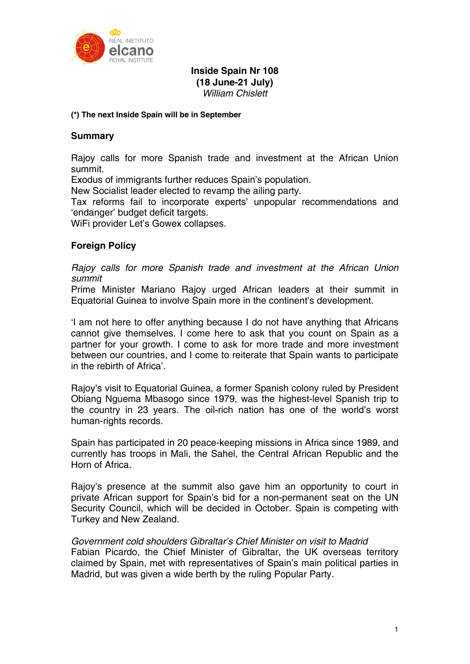

# **Inside Spain Nr 108 (18 June-21 July)**  *William Chislett*

### **(\*) The next Inside Spain will be in September**

## **Summary**

Rajoy calls for more Spanish trade and investment at the African Union summit.

Exodus of immigrants further reduces Spain's population.

New Socialist leader elected to revamp the ailing party.

Tax reforms fail to incorporate experts' unpopular recommendations and 'endanger' budget deficit targets.

WiFi provider Let's Gowex collapses.

# **Foreign Policy**

*Rajoy calls for more Spanish trade and investment at the African Union summit* 

Prime Minister Mariano Rajoy urged African leaders at their summit in Equatorial Guinea to involve Spain more in the continent's development.

'I am not here to offer anything because I do not have anything that Africans cannot give themselves. I come here to ask that you count on Spain as a partner for your growth. I come to ask for more trade and more investment between our countries, and I come to reiterate that Spain wants to participate in the rebirth of Africa'.

Rajoy's visit to Equatorial Guinea, a former Spanish colony ruled by President Obiang Nguema Mbasogo since 1979, was the highest-level Spanish trip to the country in 23 years. The oil-rich nation has one of the world's worst human-rights records.

Spain has participated in 20 peace-keeping missions in Africa since 1989, and currently has troops in Mali, the Sahel, the Central African Republic and the Horn of Africa.

Rajoy's presence at the summit also gave him an opportunity to court in private African support for Spain's bid for a non-permanent seat on the UN Security Council, which will be decided in October. Spain is competing with Turkey and New Zealand.

*Government cold shoulders Gibraltar's Chief Minister on visit to Madrid*  Fabian Picardo, the Chief Minister of Gibraltar, the UK overseas territory claimed by Spain, met with representatives of Spain's main political parties in Madrid, but was given a wide berth by the ruling Popular Party.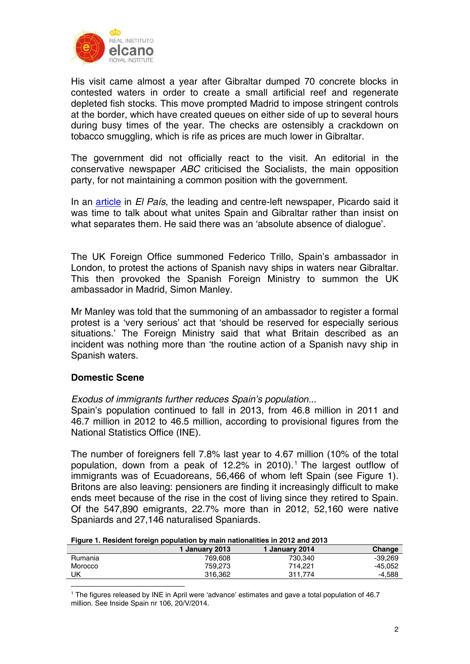

His visit came almost a year after Gibraltar dumped 70 concrete blocks in contested waters in order to create a small artificial reef and regenerate depleted fish stocks. This move prompted Madrid to impose stringent controls at the border, which have created queues on either side of up to several hours during busy times of the year. The checks are ostensibly a crackdown on tobacco smuggling, which is rife as prices are much lower in Gibraltar.

The government did not officially react to the visit. An editorial in the conservative newspaper *ABC* criticised the Socialists, the main opposition party, for not maintaining a common position with the government.

In an article in *El País*, the leading and centre-left newspaper, Picardo said it was time to talk about what unites Spain and Gibraltar rather than insist on what separates them. He said there was an 'absolute absence of dialogue'.

The UK Foreign Office summoned Federico Trillo, Spain's ambassador in London, to protest the actions of Spanish navy ships in waters near Gibraltar. This then provoked the Spanish Foreign Ministry to summon the UK ambassador in Madrid, Simon Manley.

Mr Manley was told that the summoning of an ambassador to register a formal protest is a 'very serious' act that 'should be reserved for especially serious situations.' The Foreign Ministry said that what Britain described as an incident was nothing more than 'the routine action of a Spanish navy ship in Spanish waters.

# **Domestic Scene**

<u>.</u>

## *Exodus of immigrants further reduces Spain's population...*

Spain's population continued to fall in 2013, from 46.8 million in 2011 and 46.7 million in 2012 to 46.5 million, according to provisional figures from the National Statistics Office (INE).

The number of foreigners fell 7.8% last year to 4.67 million (10% of the total population, down from a peak of  $12.2\%$  in 2010).<sup>1</sup> The largest outflow of immigrants was of Ecuadoreans, 56,466 of whom left Spain (see Figure 1). Britons are also leaving: pensioners are finding it increasingly difficult to make ends meet because of the rise in the cost of living since they retired to Spain. Of the 547,890 emigrants, 22.7% more than in 2012, 52,160 were native Spaniards and 27,146 naturalised Spaniards.

### **Figure 1. Resident foreign population by main nationalities in 2012 and 2013**

|         | ∣ Januarv 2013 | <b>January 2014</b> | Change    |
|---------|----------------|---------------------|-----------|
| Rumania | 769.608        | 730.340             | -39.269   |
| Morocco | 759.273        | 714.221             | $-45,052$ |
| UK      | 316.362        | 311.774             | $-4.588$  |

<sup>1</sup> The figures released by INE in April were 'advance' estimates and gave a total population of 46.7 million. See Inside Spain nr 106, 20/V/2014.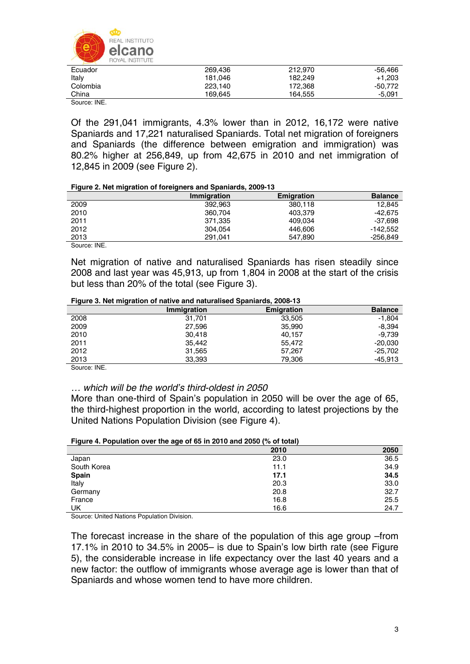

| Ecuador     | 269.436 | 212,970 | -56.466   |
|-------------|---------|---------|-----------|
| Italy       | 181.046 | 182.249 | $+1.203$  |
| Colombia    | 223.140 | 172.368 | $-50.772$ |
| China       | 169.645 | 164.555 | $-5.091$  |
| Source: INF |         |         |           |

Of the 291,041 immigrants, 4.3% lower than in 2012, 16,172 were native Spaniards and 17,221 naturalised Spaniards. Total net migration of foreigners and Spaniards (the difference between emigration and immigration) was 80.2% higher at 256,849, up from 42,675 in 2010 and net immigration of 12,845 in 2009 (see Figure 2).

#### **Figure 2. Net migration of foreigners and Spaniards, 2009-13**

|      | <b>Immigration</b> | <b>Emigration</b> | <b>Balance</b> |
|------|--------------------|-------------------|----------------|
| 2009 | 392.963            | 380,118           | 12.845         |
| 2010 | 360.704            | 403.379           | -42.675        |
| 2011 | 371.335            | 409.034           | -37.698        |
| 2012 | 304.054            | 446,606           | $-142.552$     |
| 2013 | 291.041            | 547.890           | $-256.849$     |

Source: INE.

Net migration of native and naturalised Spaniards has risen steadily since 2008 and last year was 45,913, up from 1,804 in 2008 at the start of the crisis but less than 20% of the total (see Figure 3).

| -    |             |                   |                |
|------|-------------|-------------------|----------------|
|      | Immigration | <b>Emigration</b> | <b>Balance</b> |
| 2008 | 31.701      | 33,505            | $-1,804$       |
| 2009 | 27,596      | 35,990            | $-8,394$       |
| 2010 | 30,418      | 40,157            | -9.739         |
| 2011 | 35,442      | 55,472            | $-20,030$      |
| 2012 | 31,565      | 57,267            | $-25,702$      |
| 2013 | 33,393      | 79.306            | -45,913        |

Source: INE.

### *… which will be the world's third-oldest in 2050*

More than one-third of Spain's population in 2050 will be over the age of 65, the third-highest proportion in the world, according to latest projections by the United Nations Population Division (see Figure 4).

### **Figure 4. Population over the age of 65 in 2010 and 2050 (% of total)**

|              | 2010 | 2050 |
|--------------|------|------|
| Japan        | 23.0 | 36.5 |
| South Korea  | 11.1 | 34.9 |
| <b>Spain</b> | 17.1 | 34.5 |
| Italy        | 20.3 | 33.0 |
| Germany      | 20.8 | 32.7 |
| France       | 16.8 | 25.5 |
| UK           | 16.6 | 24.7 |

Source: United Nations Population Division.

The forecast increase in the share of the population of this age group –from 17.1% in 2010 to 34.5% in 2005– is due to Spain's low birth rate (see Figure 5), the considerable increase in life expectancy over the last 40 years and a new factor: the outflow of immigrants whose average age is lower than that of Spaniards and whose women tend to have more children.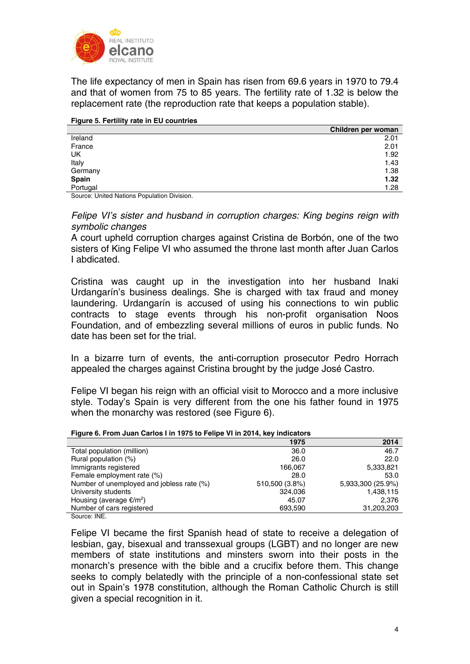

The life expectancy of men in Spain has risen from 69.6 years in 1970 to 79.4 and that of women from 75 to 85 years. The fertility rate of 1.32 is below the replacement rate (the reproduction rate that keeps a population stable).

### **Figure 5. Fertility rate in EU countries**

|              | Children per woman |
|--------------|--------------------|
| Ireland      | 2.01               |
| France       | 2.01               |
| UK           | 1.92               |
| Italy        | 1.43               |
| Germany      | 1.38               |
| <b>Spain</b> | 1.32               |
| Portugal     | 1.28               |

Source: United Nations Population Division.

*Felipe VI's sister and husband in corruption charges: King begins reign with symbolic changes* 

A court upheld corruption charges against Cristina de Borbón, one of the two sisters of King Felipe VI who assumed the throne last month after Juan Carlos I abdicated.

Cristina was caught up in the investigation into her husband Inaki Urdangarín's business dealings. She is charged with tax fraud and money laundering. Urdangarín is accused of using his connections to win public contracts to stage events through his non-profit organisation Noos Foundation, and of embezzling several millions of euros in public funds. No date has been set for the trial.

In a bizarre turn of events, the anti-corruption prosecutor Pedro Horrach appealed the charges against Cristina brought by the judge José Castro.

Felipe VI began his reign with an official visit to Morocco and a more inclusive style. Today's Spain is very different from the one his father found in 1975 when the monarchy was restored (see Figure 6).

#### **Figure 6. From Juan Carlos I in 1975 to Felipe VI in 2014, key indicators**

|                                                                                                                                   | 1975           | 2014              |
|-----------------------------------------------------------------------------------------------------------------------------------|----------------|-------------------|
| Total population (million)                                                                                                        | 36.0           | 46.7              |
| Rural population (%)                                                                                                              | 26.0           | 22.0              |
| Immigrants registered                                                                                                             | 166,067        | 5,333,821         |
| Female employment rate (%)                                                                                                        | 28.0           | 53.0              |
| Number of unemployed and jobless rate (%)                                                                                         | 510,500 (3.8%) | 5,933,300 (25.9%) |
| University students                                                                                                               | 324,036        | 1,438,115         |
| Housing (average $E/m^2$ )                                                                                                        | 45.07          | 2.376             |
| Number of cars registered                                                                                                         | 693.590        | 31,203,203        |
| $O2$ , $O2$ , $O2$ , $O2$ , $O2$ , $O2$ , $O2$ , $O2$ , $O2$ , $O2$ , $O2$ , $O2$ , $O2$ , $O2$ , $O2$ , $O2$ , $O2$ , $O2$ , $O$ |                |                   |

Source: INE.

Felipe VI became the first Spanish head of state to receive a delegation of lesbian, gay, bisexual and transsexual groups (LGBT) and no longer are new members of state institutions and minsters sworn into their posts in the monarch's presence with the bible and a crucifix before them. This change seeks to comply belatedly with the principle of a non-confessional state set out in Spain's 1978 constitution, although the Roman Catholic Church is still given a special recognition in it.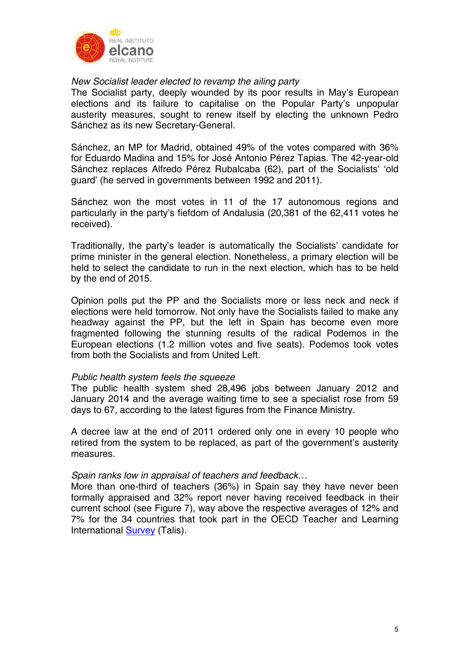

## *New Socialist leader elected to revamp the ailing party*

The Socialist party, deeply wounded by its poor results in May's European elections and its failure to capitalise on the Popular Party's unpopular austerity measures, sought to renew itself by electing the unknown Pedro Sánchez as its new Secretary-General.

Sánchez, an MP for Madrid, obtained 49% of the votes compared with 36% for Eduardo Madina and 15% for José Antonio Pérez Tapias. The 42-year-old Sánchez replaces Alfredo Pérez Rubalcaba (62), part of the Socialists' 'old guard' (he served in governments between 1992 and 2011).

Sánchez won the most votes in 11 of the 17 autonomous regions and particularly in the party's fiefdom of Andalusia (20,381 of the 62,411 votes he received).

Traditionally, the party's leader is automatically the Socialists' candidate for prime minister in the general election. Nonetheless, a primary election will be held to select the candidate to run in the next election, which has to be held by the end of 2015.

Opinion polls put the PP and the Socialists more or less neck and neck if elections were held tomorrow. Not only have the Socialists failed to make any headway against the PP, but the left in Spain has become even more fragmented following the stunning results of the radical Podemos in the European elections (1.2 million votes and five seats). Podemos took votes from both the Socialists and from United Left.

# *Public health system feels the squeeze*

The public health system shed 28,496 jobs between January 2012 and January 2014 and the average waiting time to see a specialist rose from 59 days to 67, according to the latest figures from the Finance Ministry.

A decree law at the end of 2011 ordered only one in every 10 people who retired from the system to be replaced, as part of the government's austerity measures.

## *Spain ranks low in appraisal of teachers and feedback…*

More than one-third of teachers (36%) in Spain say they have never been formally appraised and 32% report never having received feedback in their current school (see Figure 7), way above the respective averages of 12% and 7% for the 34 countries that took part in the OECD Teacher and Learning International Survey (Talis).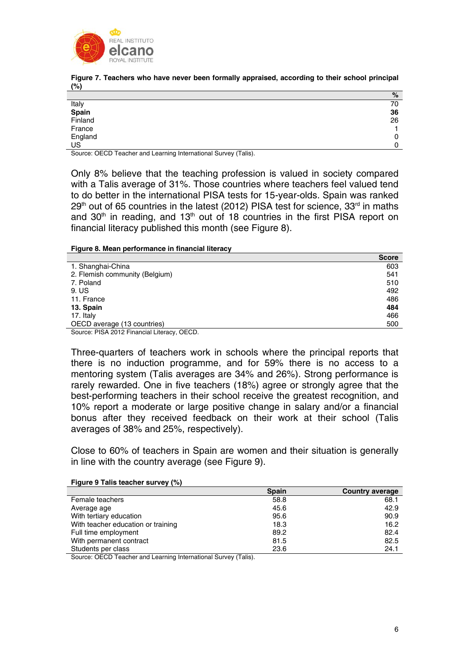

**Figure 7. Teachers who have never been formally appraised, according to their school principal (%)** 

|                                  | %  |
|----------------------------------|----|
| Italy<br><b>Spain</b><br>Finland | 70 |
|                                  | 36 |
|                                  | 26 |
| France                           |    |
| England<br>US                    |    |
|                                  |    |

Source: OECD Teacher and Learning International Survey (Talis).

Only 8% believe that the teaching profession is valued in society compared with a Talis average of 31%. Those countries where teachers feel valued tend to do better in the international PISA tests for 15-year-olds. Spain was ranked  $29<sup>th</sup>$  out of 65 countries in the latest (2012) PISA test for science, 33<sup>rd</sup> in maths and  $30<sup>th</sup>$  in reading, and  $13<sup>th</sup>$  out of 18 countries in the first PISA report on financial literacy published this month (see Figure 8).

#### **Figure 8. Mean performance in financial literacy**

|                                | <b>Score</b> |
|--------------------------------|--------------|
| 1. Shanghai-China              | 603          |
| 2. Flemish community (Belgium) | 541          |
| 7. Poland                      | 510          |
| 9. US                          | 492          |
| 11. France                     | 486          |
| 13. Spain                      | 484          |
| 17. Italy                      | 466          |
| OECD average (13 countries)    | 500          |
|                                |              |

Source: PISA 2012 Financial Literacy, OECD.

Three-quarters of teachers work in schools where the principal reports that there is no induction programme, and for 59% there is no access to a mentoring system (Talis averages are 34% and 26%). Strong performance is rarely rewarded. One in five teachers (18%) agree or strongly agree that the best-performing teachers in their school receive the greatest recognition, and 10% report a moderate or large positive change in salary and/or a financial bonus after they received feedback on their work at their school (Talis averages of 38% and 25%, respectively).

Close to 60% of teachers in Spain are women and their situation is generally in line with the country average (see Figure 9).

|                                    | <b>Spain</b> | <b>Country average</b> |
|------------------------------------|--------------|------------------------|
| Female teachers                    | 58.8         | 68.1                   |
| Average age                        | 45.6         | 42.9                   |
| With tertiary education            | 95.6         | 90.9                   |
| With teacher education or training | 18.3         | 16.2                   |
| Full time employment               | 89.2         | 82.4                   |
| With permanent contract            | 81.5         | 82.5                   |
| Students per class                 | 23.6         | 24.1                   |

#### **Figure 9 Talis teacher survey (%)**

Source: OECD Teacher and Learning International Survey (Talis).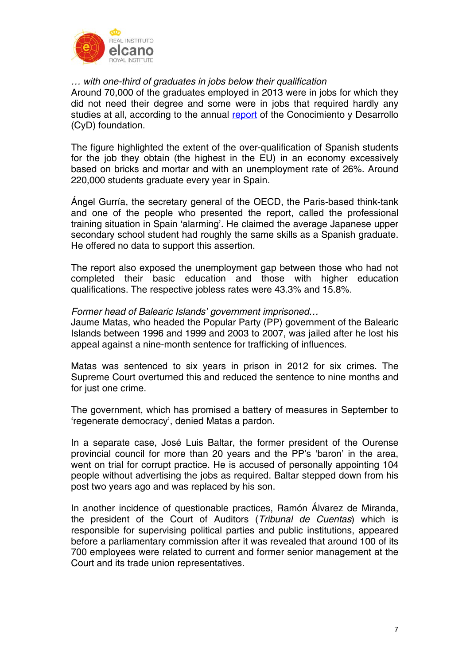

# *… with one-third of graduates in jobs below their qualification*

Around 70,000 of the graduates employed in 2013 were in jobs for which they did not need their degree and some were in jobs that required hardly any studies at all, according to the annual report of the Conocimiento y Desarrollo (CyD) foundation.

The figure highlighted the extent of the over-qualification of Spanish students for the job they obtain (the highest in the EU) in an economy excessively based on bricks and mortar and with an unemployment rate of 26%. Around 220,000 students graduate every year in Spain.

Ángel Gurría, the secretary general of the OECD, the Paris-based think-tank and one of the people who presented the report, called the professional training situation in Spain 'alarming'. He claimed the average Japanese upper secondary school student had roughly the same skills as a Spanish graduate. He offered no data to support this assertion.

The report also exposed the unemployment gap between those who had not completed their basic education and those with higher education qualifications. The respective jobless rates were 43.3% and 15.8%.

## *Former head of Balearic Islands' government imprisoned…*

Jaume Matas, who headed the Popular Party (PP) government of the Balearic Islands between 1996 and 1999 and 2003 to 2007, was jailed after he lost his appeal against a nine-month sentence for trafficking of influences.

Matas was sentenced to six years in prison in 2012 for six crimes. The Supreme Court overturned this and reduced the sentence to nine months and for just one crime.

The government, which has promised a battery of measures in September to 'regenerate democracy', denied Matas a pardon.

In a separate case, José Luis Baltar, the former president of the Ourense provincial council for more than 20 years and the PP's 'baron' in the area, went on trial for corrupt practice. He is accused of personally appointing 104 people without advertising the jobs as required. Baltar stepped down from his post two years ago and was replaced by his son.

In another incidence of questionable practices, Ramón Álvarez de Miranda, the president of the Court of Auditors (*Tribunal de Cuentas*) which is responsible for supervising political parties and public institutions, appeared before a parliamentary commission after it was revealed that around 100 of its 700 employees were related to current and former senior management at the Court and its trade union representatives.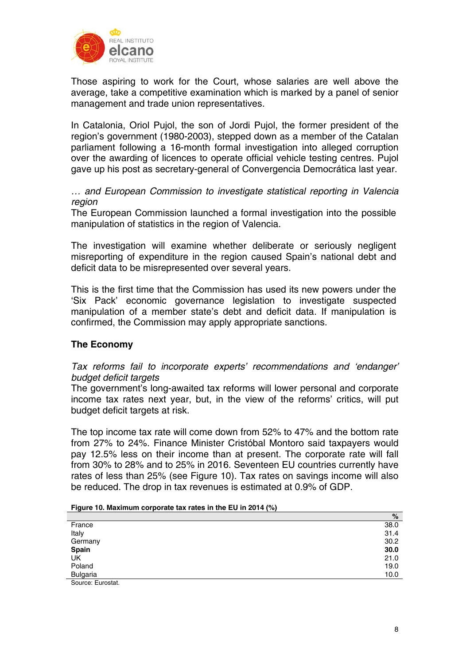

Those aspiring to work for the Court, whose salaries are well above the average, take a competitive examination which is marked by a panel of senior management and trade union representatives.

In Catalonia, Oriol Pujol, the son of Jordi Pujol, the former president of the region's government (1980-2003), stepped down as a member of the Catalan parliament following a 16-month formal investigation into alleged corruption over the awarding of licences to operate official vehicle testing centres. Pujol gave up his post as secretary-general of Convergencia Democrática last year.

*… and European Commission to investigate statistical reporting in Valencia region* 

The European Commission launched a formal investigation into the possible manipulation of statistics in the region of Valencia.

The investigation will examine whether deliberate or seriously negligent misreporting of expenditure in the region caused Spain's national debt and deficit data to be misrepresented over several years.

This is the first time that the Commission has used its new powers under the 'Six Pack' economic governance legislation to investigate suspected manipulation of a member state's debt and deficit data. If manipulation is confirmed, the Commission may apply appropriate sanctions.

# **The Economy**

*Tax reforms fail to incorporate experts' recommendations and 'endanger' budget deficit targets* 

The government's long-awaited tax reforms will lower personal and corporate income tax rates next year, but, in the view of the reforms' critics, will put budget deficit targets at risk.

The top income tax rate will come down from 52% to 47% and the bottom rate from 27% to 24%. Finance Minister Cristóbal Montoro said taxpayers would pay 12.5% less on their income than at present. The corporate rate will fall from 30% to 28% and to 25% in 2016. Seventeen EU countries currently have rates of less than 25% (see Figure 10). Tax rates on savings income will also be reduced. The drop in tax revenues is estimated at 0.9% of GDP.

| .                 | .    |
|-------------------|------|
|                   | %    |
| France            | 38.0 |
| Italy             | 31.4 |
| Germany           | 30.2 |
| Spain             | 30.0 |
| UK                | 21.0 |
| Poland            | 19.0 |
| <b>Bulgaria</b>   | 10.0 |
| Source: Eurostat. |      |

| Figure 10. Maximum corporate tax rates in the EU in 2014 (%) |  |
|--------------------------------------------------------------|--|
|--------------------------------------------------------------|--|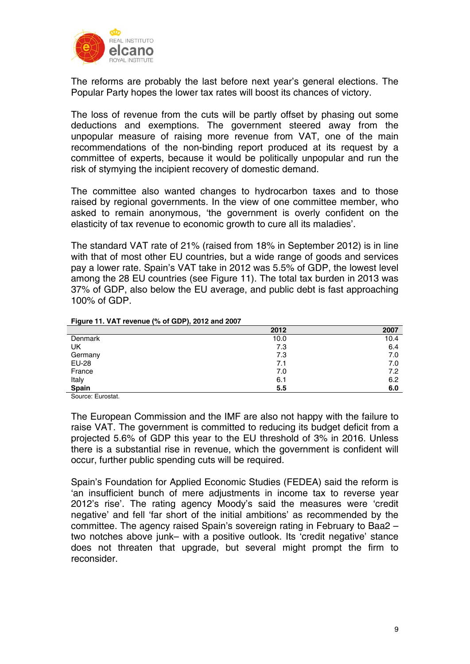

The reforms are probably the last before next year's general elections. The Popular Party hopes the lower tax rates will boost its chances of victory.

The loss of revenue from the cuts will be partly offset by phasing out some deductions and exemptions. The government steered away from the unpopular measure of raising more revenue from VAT, one of the main recommendations of the non-binding report produced at its request by a committee of experts, because it would be politically unpopular and run the risk of stymying the incipient recovery of domestic demand.

The committee also wanted changes to hydrocarbon taxes and to those raised by regional governments. In the view of one committee member, who asked to remain anonymous, 'the government is overly confident on the elasticity of tax revenue to economic growth to cure all its maladies'.

The standard VAT rate of 21% (raised from 18% in September 2012) is in line with that of most other EU countries, but a wide range of goods and services pay a lower rate. Spain's VAT take in 2012 was 5.5% of GDP, the lowest level among the 28 EU countries (see Figure 11). The total tax burden in 2013 was 37% of GDP, also below the EU average, and public debt is fast approaching 100% of GDP.

|              | 2012 | 2007 |
|--------------|------|------|
| Denmark      | 10.0 | 10.4 |
| UK           | 7.3  | 6.4  |
| Germany      | 7.3  | 7.0  |
| <b>EU-28</b> | 7.1  | 7.0  |
| France       | 7.0  | 7.2  |
| Italy        | 6.1  | 6.2  |
| <b>Spain</b> | 5.5  | 6.0  |

#### **Figure 11. VAT revenue (% of GDP), 2012 and 2007**

Source: Eurostat.

The European Commission and the IMF are also not happy with the failure to raise VAT. The government is committed to reducing its budget deficit from a projected 5.6% of GDP this year to the EU threshold of 3% in 2016. Unless there is a substantial rise in revenue, which the government is confident will occur, further public spending cuts will be required.

Spain's Foundation for Applied Economic Studies (FEDEA) said the reform is 'an insufficient bunch of mere adjustments in income tax to reverse year 2012's rise'. The rating agency Moody's said the measures were 'credit negative' and fell 'far short of the initial ambitions' as recommended by the committee. The agency raised Spain's sovereign rating in February to Baa2 – two notches above junk– with a positive outlook. Its 'credit negative' stance does not threaten that upgrade, but several might prompt the firm to reconsider.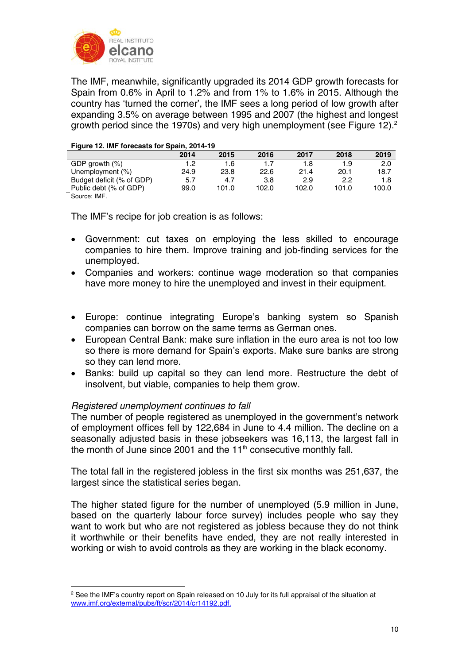

The IMF, meanwhile, significantly upgraded its 2014 GDP growth forecasts for Spain from 0.6% in April to 1.2% and from 1% to 1.6% in 2015. Although the country has 'turned the corner', the IMF sees a long period of low growth after expanding 3.5% on average between 1995 and 2007 (the highest and longest growth period since the 1970s) and very high unemployment (see Figure 12).<sup>2</sup>

#### **Figure 12. IMF forecasts for Spain, 2014-19**

|                           | 2014 | 2015  | 2016  | 2017  | 2018  | 2019  |
|---------------------------|------|-------|-------|-------|-------|-------|
| GDP growth $(\%)$         | 1.2  | 1.6   |       |       | 1.9   | 2.0   |
| Unemployment (%)          | 24.9 | 23.8  | 22.6  | 21.4  | 20.1  | 18.7  |
| Budget deficit (% of GDP) | 5.7  | 4.7   | 3.8   | 2.9   | 2.2   | 1.8   |
| Public debt (% of GDP)    | 99.0 | 101.0 | 102.0 | 102.0 | 101.0 | 100.0 |
|                           |      |       |       |       |       |       |

Source: IMF.

The IMF's recipe for job creation is as follows:

- Government: cut taxes on employing the less skilled to encourage companies to hire them. Improve training and job-finding services for the unemployed.
- Companies and workers: continue wage moderation so that companies have more money to hire the unemployed and invest in their equipment.
- Europe: continue integrating Europe's banking system so Spanish companies can borrow on the same terms as German ones.
- European Central Bank: make sure inflation in the euro area is not too low so there is more demand for Spain's exports. Make sure banks are strong so they can lend more.
- Banks: build up capital so they can lend more. Restructure the debt of insolvent, but viable, companies to help them grow.

# *Registered unemployment continues to fall*

The number of people registered as unemployed in the government's network of employment offices fell by 122,684 in June to 4.4 million. The decline on a seasonally adjusted basis in these jobseekers was 16,113, the largest fall in the month of June since 2001 and the  $11<sup>th</sup>$  consecutive monthly fall.

The total fall in the registered jobless in the first six months was 251,637, the largest since the statistical series began.

The higher stated figure for the number of unemployed (5.9 million in June, based on the quarterly labour force survey) includes people who say they want to work but who are not registered as jobless because they do not think it worthwhile or their benefits have ended, they are not really interested in working or wish to avoid controls as they are working in the black economy.

<sup>&</sup>lt;u>.</u>  $<sup>2</sup>$  See the IMF's country report on Spain released on 10 July for its full appraisal of the situation at</sup> www.imf.org/external/pubs/ft/scr/2014/cr14192.pdf.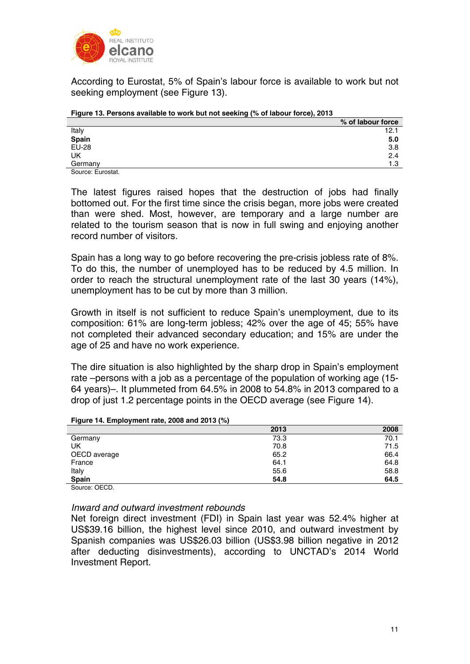

According to Eurostat, 5% of Spain's labour force is available to work but not seeking employment (see Figure 13).

| <b>1</b> iguit 10. I clochd drahabit to mork but hot occking (70 of labour 10100); Lo lo |                   |
|------------------------------------------------------------------------------------------|-------------------|
|                                                                                          | % of labour force |
| Italy                                                                                    | 12.1              |
| Spain                                                                                    | 5.0               |
| <b>EU-28</b>                                                                             | 3.8               |
| UK                                                                                       | 2.4               |
| Germany                                                                                  | 1.3               |
| Source: Eurostat.                                                                        |                   |

| Figure 13. Persons available to work but not seeking (% of labour force), 2013 |  |
|--------------------------------------------------------------------------------|--|
|--------------------------------------------------------------------------------|--|

The latest figures raised hopes that the destruction of jobs had finally bottomed out. For the first time since the crisis began, more jobs were created than were shed. Most, however, are temporary and a large number are related to the tourism season that is now in full swing and enjoying another record number of visitors.

Spain has a long way to go before recovering the pre-crisis jobless rate of 8%. To do this, the number of unemployed has to be reduced by 4.5 million. In order to reach the structural unemployment rate of the last 30 years (14%), unemployment has to be cut by more than 3 million.

Growth in itself is not sufficient to reduce Spain's unemployment, due to its composition: 61% are long-term jobless; 42% over the age of 45; 55% have not completed their advanced secondary education; and 15% are under the age of 25 and have no work experience.

The dire situation is also highlighted by the sharp drop in Spain's employment rate –persons with a job as a percentage of the population of working age (15- 64 years)–. It plummeted from 64.5% in 2008 to 54.8% in 2013 compared to a drop of just 1.2 percentage points in the OECD average (see Figure 14).

|                         | 2013 | 2008 |
|-------------------------|------|------|
| Germany                 | 73.3 | 70.1 |
| UK                      | 70.8 | 71.5 |
| OECD average            | 65.2 | 66.4 |
| France                  | 64.1 | 64.8 |
| Italy                   | 55.6 | 58.8 |
| <b>Spain</b><br>- - - - | 54.8 | 64.5 |

### **Figure 14. Employment rate, 2008 and 2013 (%)**

Source: OECD

## *Inward and outward investment rebounds*

Net foreign direct investment (FDI) in Spain last year was 52.4% higher at US\$39.16 billion, the highest level since 2010, and outward investment by Spanish companies was US\$26.03 billion (US\$3.98 billion negative in 2012 after deducting disinvestments), according to UNCTAD's 2014 World Investment Report.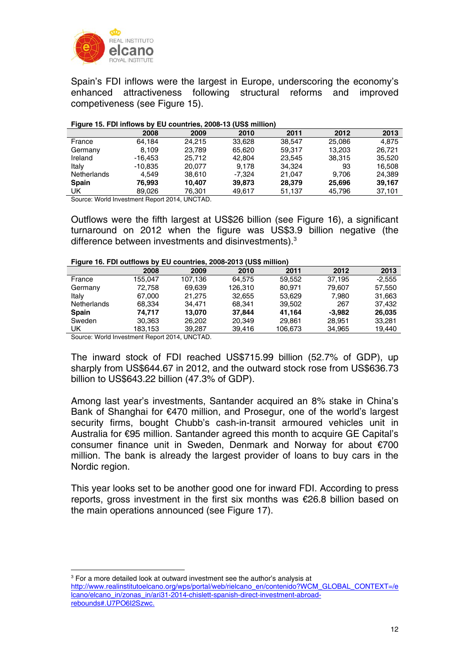

Spain's FDI inflows were the largest in Europe, underscoring the economy's enhanced attractiveness following structural reforms and improved competiveness (see Figure 15).

#### **Figure 15. FDI inflows by EU countries, 2008-13 (US\$ million)**

| $\cdot$                                                                                                                                                                                                                                                                                                       |           |        | - - -    |        |        |        |
|---------------------------------------------------------------------------------------------------------------------------------------------------------------------------------------------------------------------------------------------------------------------------------------------------------------|-----------|--------|----------|--------|--------|--------|
|                                                                                                                                                                                                                                                                                                               | 2008      | 2009   | 2010     | 2011   | 2012   | 2013   |
| France                                                                                                                                                                                                                                                                                                        | 64.184    | 24.215 | 33.628   | 38.547 | 25,086 | 4.875  |
| Germany                                                                                                                                                                                                                                                                                                       | 8.109     | 23.789 | 65.620   | 59.317 | 13.203 | 26.721 |
| Ireland                                                                                                                                                                                                                                                                                                       | $-16.453$ | 25.712 | 42.804   | 23.545 | 38,315 | 35,520 |
| Italy                                                                                                                                                                                                                                                                                                         | $-10.835$ | 20.077 | 9.178    | 34.324 | 93     | 16.508 |
| Netherlands                                                                                                                                                                                                                                                                                                   | 4.549     | 38,610 | $-7.324$ | 21.047 | 9.706  | 24,389 |
| <b>Spain</b>                                                                                                                                                                                                                                                                                                  | 76.993    | 10.407 | 39,873   | 28,379 | 25,696 | 39,167 |
| UK                                                                                                                                                                                                                                                                                                            | 89.026    | 76.301 | 49.617   | 51,137 | 45,796 | 37,101 |
| $O_{\text{2}}$ and $M_{\text{2}}$ and $L_{\text{2}}$ are $L_{\text{2}}$ and $R_{\text{2}}$ and $R_{\text{2}}$ and $R_{\text{2}}$ and $R_{\text{2}}$ and $R_{\text{2}}$ and $R_{\text{2}}$ and $R_{\text{2}}$ and $R_{\text{2}}$ and $R_{\text{2}}$ and $R_{\text{2}}$ and $R_{\text{2}}$ and $R_{\text{2}}$ a |           |        |          |        |        |        |

Source: World Investment Report 2014, UNCTAD.

Outflows were the fifth largest at US\$26 billion (see Figure 16), a significant turnaround on 2012 when the figure was US\$3.9 billion negative (the difference between investments and disinvestments).3

#### **Figure 16. FDI outflows by EU countries, 2008-2013 (US\$ million)**

|                    | 2008                     | 2009    | 2010    | 2011    | 2012     | 2013     |
|--------------------|--------------------------|---------|---------|---------|----------|----------|
| France             | 155.047                  | 107.136 | 64.575  | 59.552  | 37.195   | $-2.555$ |
| Germany            | 72.758                   | 69.639  | 126.310 | 80.971  | 79.607   | 57.550   |
| Italy              | 67.000                   | 21.275  | 32.655  | 53,629  | 7.980    | 31.663   |
| <b>Netherlands</b> | 68.334                   | 34.471  | 68.341  | 39.502  | 267      | 37.432   |
| <b>Spain</b>       | 74.717                   | 13.070  | 37.844  | 41.164  | $-3.982$ | 26,035   |
| Sweden             | 30.363                   | 26,202  | 20.349  | 29.861  | 28.951   | 33.281   |
| UK                 | 183.153                  | 39.287  | 39,416  | 106,673 | 34,965   | 19,440   |
| $\sim$<br>.        | $\overline{\phantom{a}}$ | <br>.   |         |         |          |          |

Source: World Investment Report 2014, UNCTAD.

1

The inward stock of FDI reached US\$715.99 billion (52.7% of GDP), up sharply from US\$644.67 in 2012, and the outward stock rose from US\$636.73 billion to US\$643.22 billion (47.3% of GDP).

Among last year's investments, Santander acquired an 8% stake in China's Bank of Shanghai for €470 million, and Prosegur, one of the world's largest security firms, bought Chubb's cash-in-transit armoured vehicles unit in Australia for €95 million. Santander agreed this month to acquire GE Capital's consumer finance unit in Sweden, Denmark and Norway for about €700 million. The bank is already the largest provider of loans to buy cars in the Nordic region.

This year looks set to be another good one for inward FDI. According to press reports, gross investment in the first six months was €26.8 billion based on the main operations announced (see Figure 17).

<sup>&</sup>lt;sup>3</sup> For a more detailed look at outward investment see the author's analysis at http://www.realinstitutoelcano.org/wps/portal/web/rielcano\_en/contenido?WCM\_GLOBAL\_CONTEXT=/e lcano/elcano\_in/zonas\_in/ari31-2014-chislett-spanish-direct-investment-abroadrebounds#.U7PO6I2Szwc.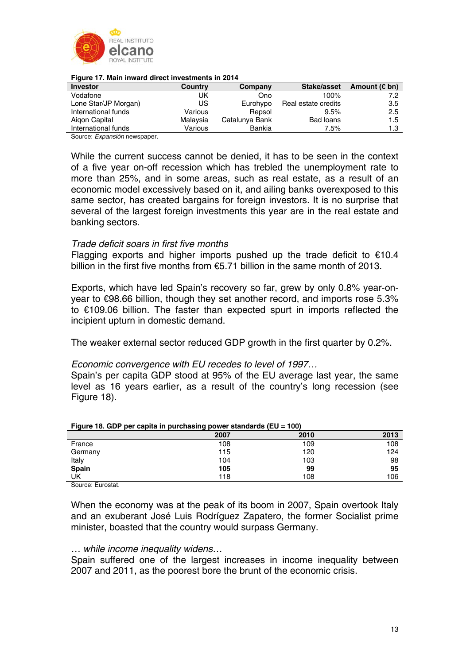

| <b>Figure 17. Mail illivard direct illivestrients in Z014</b> |          |                |                     |                         |  |  |
|---------------------------------------------------------------|----------|----------------|---------------------|-------------------------|--|--|
| <b>Investor</b>                                               | Country  | Company        | Stake/asset         | Amount ( $\epsilon$ bn) |  |  |
| Vodafone                                                      | UK       | Ono            | 100%                | 7.2                     |  |  |
| Lone Star/JP Morgan)                                          | US       | Eurohypo       | Real estate credits | 3.5                     |  |  |
| International funds                                           | Various  | Repsol         | 9.5%                | 2.5                     |  |  |
| Aigon Capital                                                 | Malaysia | Catalunya Bank | Bad loans           | 1.5                     |  |  |
| International funds                                           | Various  | Bankia         | $7.5\%$             | 1.3                     |  |  |

## **Figure 17. Main inward direct investments in 2014**

Source: *Expansión* newspaper.

While the current success cannot be denied, it has to be seen in the context of a five year on-off recession which has trebled the unemployment rate to more than 25%, and in some areas, such as real estate, as a result of an economic model excessively based on it, and ailing banks overexposed to this same sector, has created bargains for foreign investors. It is no surprise that several of the largest foreign investments this year are in the real estate and banking sectors.

## *Trade deficit soars in first five months*

Flagging exports and higher imports pushed up the trade deficit to  $€10.4$ billion in the first five months from €5.71 billion in the same month of 2013.

Exports, which have led Spain's recovery so far, grew by only 0.8% year-onyear to €98.66 billion, though they set another record, and imports rose 5.3% to €109.06 billion. The faster than expected spurt in imports reflected the incipient upturn in domestic demand.

The weaker external sector reduced GDP growth in the first quarter by 0.2%.

### *Economic convergence with EU recedes to level of 1997…*

Spain's per capita GDP stood at 95% of the EU average last year, the same level as 16 years earlier, as a result of the country's long recession (see Figure 18).

| $\frac{1}{2}$ . The contract of the set of the set of the set of the set of $\frac{1}{2}$ is $\frac{1}{2}$ . The set of $\frac{1}{2}$ |      |      |      |  |  |  |
|---------------------------------------------------------------------------------------------------------------------------------------|------|------|------|--|--|--|
|                                                                                                                                       | 2007 | 2010 | 2013 |  |  |  |
| France                                                                                                                                | 108  | 109  | 108  |  |  |  |
| Germany                                                                                                                               | 115  | 120  | 124  |  |  |  |
| Italy                                                                                                                                 | 104  | 103  | 98   |  |  |  |
| Spain                                                                                                                                 | 105  | 99   | 95   |  |  |  |
| UK                                                                                                                                    | 118  | 108  | 106  |  |  |  |

#### **Figure 18. GDP per capita in purchasing power standards (EU = 100)**

Source: Eurostat.

When the economy was at the peak of its boom in 2007, Spain overtook Italy and an exuberant José Luis Rodríguez Zapatero, the former Socialist prime minister, boasted that the country would surpass Germany.

### *… while income inequality widens…*

Spain suffered one of the largest increases in income inequality between 2007 and 2011, as the poorest bore the brunt of the economic crisis.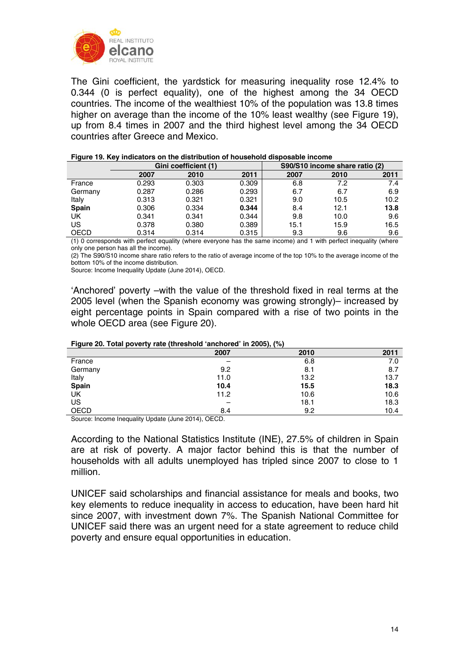

The Gini coefficient, the yardstick for measuring inequality rose 12.4% to 0.344 (0 is perfect equality), one of the highest among the 34 OECD countries. The income of the wealthiest 10% of the population was 13.8 times higher on average than the income of the 10% least wealthy (see Figure 19), up from 8.4 times in 2007 and the third highest level among the 34 OECD countries after Greece and Mexico.

| Gini coefficient (1) |       |       | S90/S10 income share ratio (2) |      |      |
|----------------------|-------|-------|--------------------------------|------|------|
| 2007                 | 2010  | 2011  | 2007                           | 2010 | 2011 |
| 0.293                | 0.303 | 0.309 | 6.8                            | 7.2  | 7.4  |
| 0.287                | 0.286 | 0.293 | 6.7                            | 6.7  | 6.9  |
| 0.313                | 0.321 | 0.321 | 9.0                            | 10.5 | 10.2 |
| 0.306                | 0.334 | 0.344 | 8.4                            | 12.1 | 13.8 |
| 0.341                | 0.341 | 0.344 | 9.8                            | 10.0 | 9.6  |
| 0.378                | 0.380 | 0.389 | 15.1                           | 15.9 | 16.5 |
| 0.314                | 0.314 | 0.315 | 9.3                            | 9.6  | 9.6  |
|                      |       |       |                                |      |      |

#### **Figure 19. Key indicators on the distribution of household disposable income**

(1) 0 corresponds with perfect equality (where everyone has the same income) and 1 with perfect inequality (where only one person has all the income).

(2) The S90/S10 income share ratio refers to the ratio of average income of the top 10% to the average income of the bottom 10% of the income distribution.

Source: Income Inequality Update (June 2014), OECD.

'Anchored' poverty –with the value of the threshold fixed in real terms at the 2005 level (when the Spanish economy was growing strongly)– increased by eight percentage points in Spain compared with a rise of two points in the whole OECD area (see Figure 20).

| $\frac{1}{2}$ iguit zo. Total poverty fate (threshold anonoted in zood), (70) |      |      |      |  |  |  |
|-------------------------------------------------------------------------------|------|------|------|--|--|--|
|                                                                               | 2007 | 2010 | 2011 |  |  |  |
| France                                                                        |      | 6.8  | 7.0  |  |  |  |
| Germany                                                                       | 9.2  | 8.1  | 8.7  |  |  |  |
| Italy                                                                         | 11.0 | 13.2 | 13.7 |  |  |  |
| <b>Spain</b>                                                                  | 10.4 | 15.5 | 18.3 |  |  |  |
| UK                                                                            | 11.2 | 10.6 | 10.6 |  |  |  |
| US                                                                            |      | 18.1 | 18.3 |  |  |  |
| <b>OECD</b>                                                                   | 8.4  | 9.2  | 10.4 |  |  |  |

### **Figure 20. Total poverty rate (threshold 'anchored' in 2005), (%)**

Source: Income Inequality Update (June 2014), OECD.

According to the National Statistics Institute (INE), 27.5% of children in Spain are at risk of poverty. A major factor behind this is that the number of households with all adults unemployed has tripled since 2007 to close to 1 million.

UNICEF said scholarships and financial assistance for meals and books, two key elements to reduce inequality in access to education, have been hard hit since 2007, with investment down 7%. The Spanish National Committee for UNICEF said there was an urgent need for a state agreement to reduce child poverty and ensure equal opportunities in education.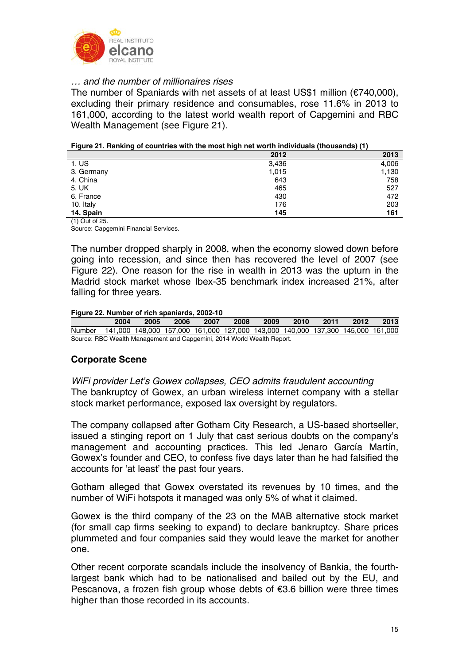

# *… and the number of millionaires rises*

The number of Spaniards with net assets of at least US\$1 million (€740,000), excluding their primary residence and consumables, rose 11.6% in 2013 to 161,000, according to the latest world wealth report of Capgemini and RBC Wealth Management (see Figure 21).

|  | Figure 21. Ranking of countries with the most high net worth individuals (thousands) (1) |  |
|--|------------------------------------------------------------------------------------------|--|
|  |                                                                                          |  |

|                  | 2012  | 2013  |
|------------------|-------|-------|
| 1. <sub>US</sub> | 3,436 | 4,006 |
| 3. Germany       | 1,015 | 1,130 |
| 4. China         | 643   | 758   |
| 5. UK            | 465   | 527   |
| 6. France        | 430   | 472   |
| 10. Italy        | 176   | 203   |
| 14. Spain        | 145   | 161   |

(1) Out of 25.

Source: Capgemini Financial Services.

The number dropped sharply in 2008, when the economy slowed down before going into recession, and since then has recovered the level of 2007 (see Figure 22). One reason for the rise in wealth in 2013 was the upturn in the Madrid stock market whose Ibex-35 benchmark index increased 21%, after falling for three years.

### **Figure 22. Number of rich spaniards, 2002-10**

|                                                                                        |      |      | .    |      |      |      |      |      |      |      |
|----------------------------------------------------------------------------------------|------|------|------|------|------|------|------|------|------|------|
|                                                                                        | 2004 | 2005 | 2006 | 2007 | 2008 | 2009 | 2010 | 2011 | 2012 | 2013 |
| Number 141,000 148,000 157,000 161,000 127,000 143,000 140,000 137,300 145,000 161,000 |      |      |      |      |      |      |      |      |      |      |
| Source: RBC Wealth Management and Capgemini, 2014 World Wealth Report.                 |      |      |      |      |      |      |      |      |      |      |

# **Corporate Scene**

*WiFi provider Let's Gowex collapses, CEO admits fraudulent accounting*  The bankruptcy of Gowex, an urban wireless internet company with a stellar stock market performance, exposed lax oversight by regulators.

The company collapsed after Gotham City Research, a US-based shortseller, issued a stinging report on 1 July that cast serious doubts on the company's management and accounting practices. This led Jenaro García Martín, Gowex's founder and CEO, to confess five days later than he had falsified the accounts for 'at least' the past four years.

Gotham alleged that Gowex overstated its revenues by 10 times, and the number of WiFi hotspots it managed was only 5% of what it claimed.

Gowex is the third company of the 23 on the MAB alternative stock market (for small cap firms seeking to expand) to declare bankruptcy. Share prices plummeted and four companies said they would leave the market for another one.

Other recent corporate scandals include the insolvency of Bankia, the fourthlargest bank which had to be nationalised and bailed out by the EU, and Pescanova, a frozen fish group whose debts of €3.6 billion were three times higher than those recorded in its accounts.